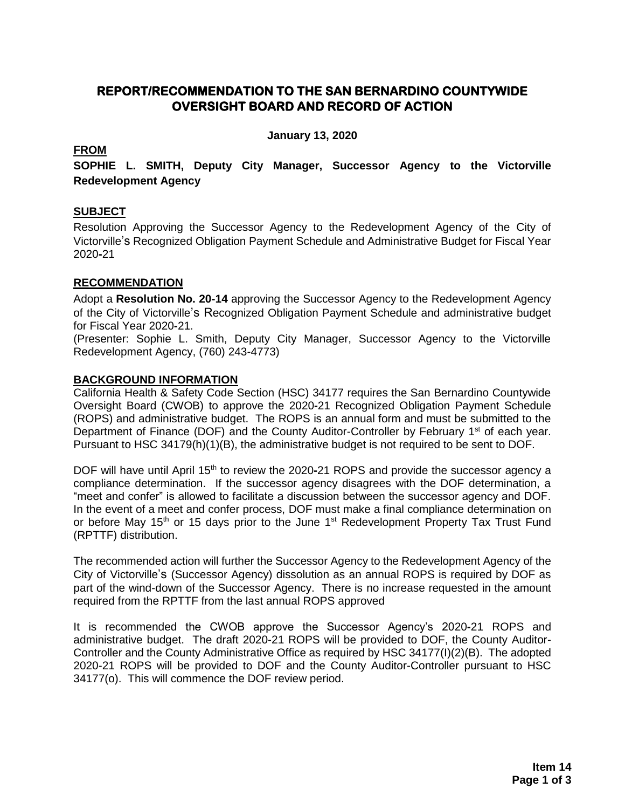# **REPORT/RECOMMENDATION TO THE SAN BERNARDINO COUNTYWIDE OVERSIGHT BOARD AND RECORD OF ACTION**

**January 13, 2020**

## **FROM**

**SOPHIE L. SMITH, Deputy City Manager, Successor Agency to the Victorville Redevelopment Agency**

## **SUBJECT**

Resolution Approving the Successor Agency to the Redevelopment Agency of the City of Victorville's Recognized Obligation Payment Schedule and Administrative Budget for Fiscal Year 2020**-**21

## **RECOMMENDATION**

Adopt a **Resolution No. 20-14** approving the Successor Agency to the Redevelopment Agency of the City of Victorville's Recognized Obligation Payment Schedule and administrative budget for Fiscal Year 2020**-**21.

(Presenter: Sophie L. Smith, Deputy City Manager, Successor Agency to the Victorville Redevelopment Agency, (760) 243-4773)

## **BACKGROUND INFORMATION**

California Health & Safety Code Section (HSC) 34177 requires the San Bernardino Countywide Oversight Board (CWOB) to approve the 2020**-**21 Recognized Obligation Payment Schedule (ROPS) and administrative budget. The ROPS is an annual form and must be submitted to the Department of Finance (DOF) and the County Auditor-Controller by February 1<sup>st</sup> of each year. Pursuant to HSC 34179(h)(1)(B), the administrative budget is not required to be sent to DOF.

DOF will have until April 15<sup>th</sup> to review the 2020-21 ROPS and provide the successor agency a compliance determination. If the successor agency disagrees with the DOF determination, a "meet and confer" is allowed to facilitate a discussion between the successor agency and DOF. In the event of a meet and confer process, DOF must make a final compliance determination on or before May 15<sup>th</sup> or 15 days prior to the June 1<sup>st</sup> Redevelopment Property Tax Trust Fund (RPTTF) distribution.

The recommended action will further the Successor Agency to the Redevelopment Agency of the City of Victorville's (Successor Agency) dissolution as an annual ROPS is required by DOF as part of the wind-down of the Successor Agency. There is no increase requested in the amount required from the RPTTF from the last annual ROPS approved

It is recommended the CWOB approve the Successor Agency's 2020**-**21 ROPS and administrative budget. The draft 2020-21 ROPS will be provided to DOF, the County Auditor-Controller and the County Administrative Office as required by HSC 34177(I)(2)(B). The adopted 2020-21 ROPS will be provided to DOF and the County Auditor-Controller pursuant to HSC 34177(o). This will commence the DOF review period.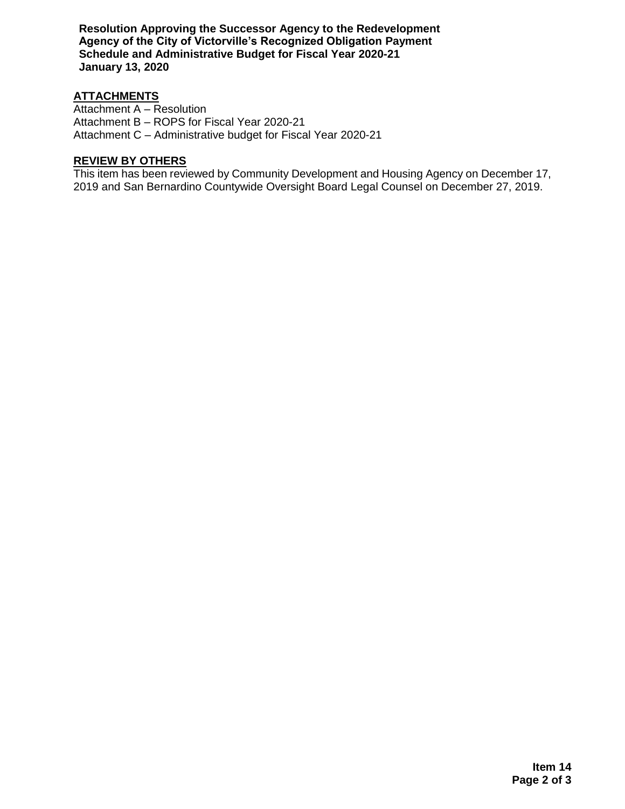**Resolution Approving the Successor Agency to the Redevelopment Agency of the City of Victorville's Recognized Obligation Payment Schedule and Administrative Budget for Fiscal Year 2020-21 January 13, 2020**

## **ATTACHMENTS**

Attachment A – Resolution Attachment B – ROPS for Fiscal Year 2020-21 Attachment C – Administrative budget for Fiscal Year 2020-21

# **REVIEW BY OTHERS**

This item has been reviewed by Community Development and Housing Agency on December 17, 2019 and San Bernardino Countywide Oversight Board Legal Counsel on December 27, 2019.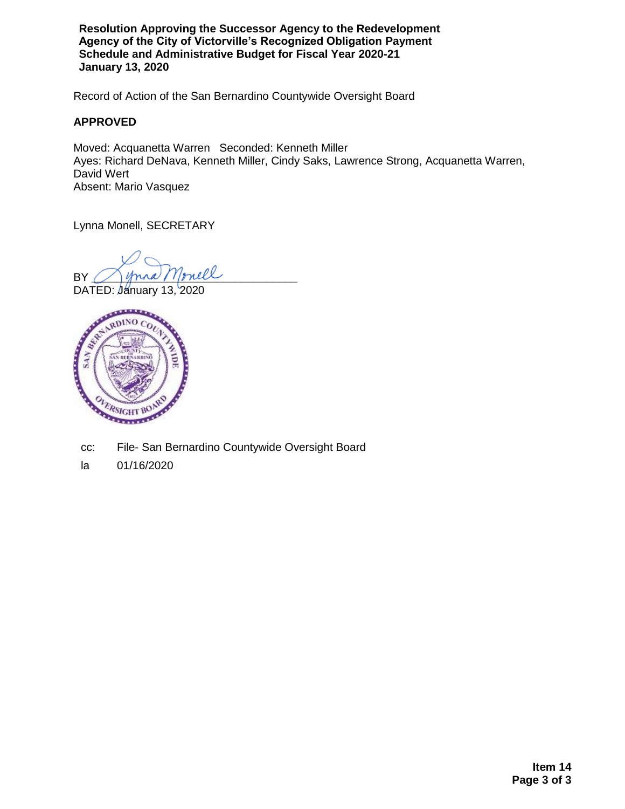**Resolution Approving the Successor Agency to the Redevelopment Agency of the City of Victorville's Recognized Obligation Payment Schedule and Administrative Budget for Fiscal Year 2020-21 January 13, 2020**

Record of Action of the San Bernardino Countywide Oversight Board

## **APPROVED**

Moved: Acquanetta Warren Seconded: Kenneth Miller Ayes: Richard DeNava, Kenneth Miller, Cindy Saks, Lawrence Strong, Acquanetta Warren, David Wert Absent: Mario Vasquez

Lynna Monell, SECRETARY

BY Jynna Monell

DATED: January 13, 2020



- cc: File- San Bernardino Countywide Oversight Board
- la 01/16/2020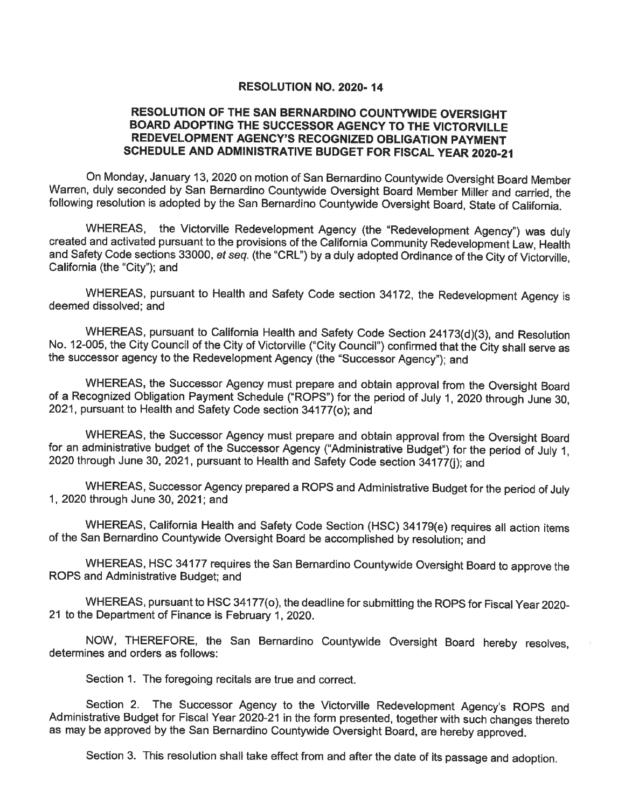#### **RESOLUTION NO. 2020-14**

## RESOLUTION OF THE SAN BERNARDINO COUNTYWIDE OVERSIGHT BOARD ADOPTING THE SUCCESSOR AGENCY TO THE VICTORVILLE REDEVELOPMENT AGENCY'S RECOGNIZED OBLIGATION PAYMENT SCHEDULE AND ADMINISTRATIVE BUDGET FOR FISCAL YEAR 2020-21

On Monday, January 13, 2020 on motion of San Bernardino Countywide Oversight Board Member Warren, duly seconded by San Bernardino Countywide Oversight Board Member Miller and carried, the following resolution is adopted by the San Bernardino Countywide Oversight Board, State of California.

WHEREAS, the Victorville Redevelopment Agency (the "Redevelopment Agency") was duly created and activated pursuant to the provisions of the California Community Redevelopment Law, Health and Safety Code sections 33000, et seq. (the "CRL") by a duly adopted Ordinance of the City of Victorville, California (the "City"); and

WHEREAS, pursuant to Health and Safety Code section 34172, the Redevelopment Agency is deemed dissolved: and

WHEREAS, pursuant to California Health and Safety Code Section 24173(d)(3), and Resolution No. 12-005, the City Council of the City of Victorville ("City Council") confirmed that the City shall serve as the successor agency to the Redevelopment Agency (the "Successor Agency"); and

WHEREAS, the Successor Agency must prepare and obtain approval from the Oversight Board of a Recognized Obligation Payment Schedule ("ROPS") for the period of July 1, 2020 through June 30, 2021, pursuant to Health and Safety Code section 34177(o); and

WHEREAS, the Successor Agency must prepare and obtain approval from the Oversight Board for an administrative budget of the Successor Agency ("Administrative Budget") for the period of July 1. 2020 through June 30, 2021, pursuant to Health and Safety Code section 34177(i); and

WHEREAS, Successor Agency prepared a ROPS and Administrative Budget for the period of July 1, 2020 through June 30, 2021; and

WHEREAS, California Health and Safety Code Section (HSC) 34179(e) requires all action items of the San Bernardino Countywide Oversight Board be accomplished by resolution; and

WHEREAS, HSC 34177 requires the San Bernardino Countywide Oversight Board to approve the ROPS and Administrative Budget; and

WHEREAS, pursuant to HSC 34177(o), the deadline for submitting the ROPS for Fiscal Year 2020-21 to the Department of Finance is February 1, 2020.

NOW, THEREFORE, the San Bernardino Countywide Oversight Board hereby resolves, determines and orders as follows:

Section 1. The foregoing recitals are true and correct.

Section 2. The Successor Agency to the Victorville Redevelopment Agency's ROPS and Administrative Budget for Fiscal Year 2020-21 in the form presented, together with such changes thereto as may be approved by the San Bernardino Countywide Oversight Board, are hereby approved.

Section 3. This resolution shall take effect from and after the date of its passage and adoption.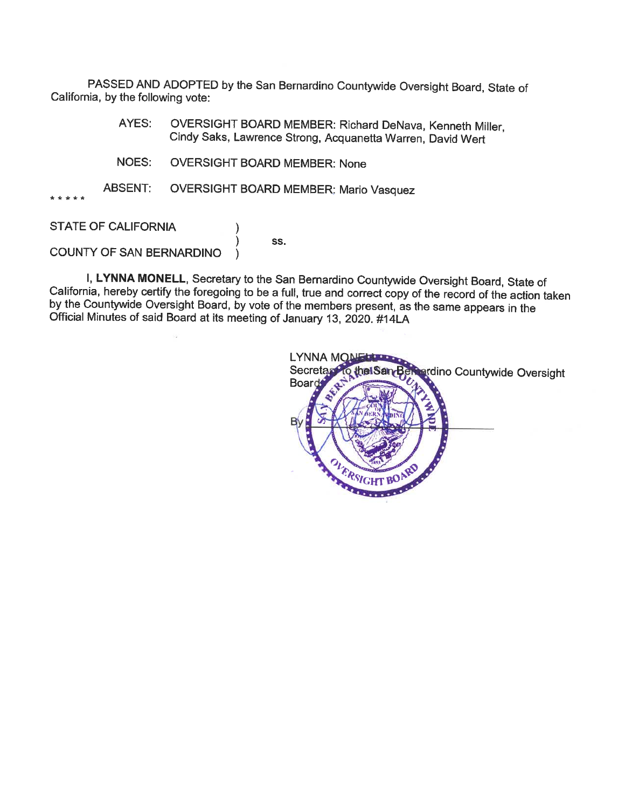PASSED AND ADOPTED by the San Bernardino Countywide Oversight Board, State of California, by the following vote:

- AYES: OVERSIGHT BOARD MEMBER: Richard DeNava, Kenneth Miller, Cindy Saks, Lawrence Strong, Acquanetta Warren, David Wert
- **OVERSIGHT BOARD MEMBER: None** NOES:
- **ABSENT: OVERSIGHT BOARD MEMBER: Mario Vasquez**

١

**STATE OF CALIFORNIA** 

SS.

COUNTY OF SAN BERNARDINO

I, LYNNA MONELL, Secretary to the San Bernardino Countywide Oversight Board, State of California, hereby certify the foregoing to be a full, true and correct copy of the record of the action taken by the Countywide Oversight Board, by vote of the members present, as the same appears in the Official Minutes of said Board at its meeting of January 13, 2020. #14LA

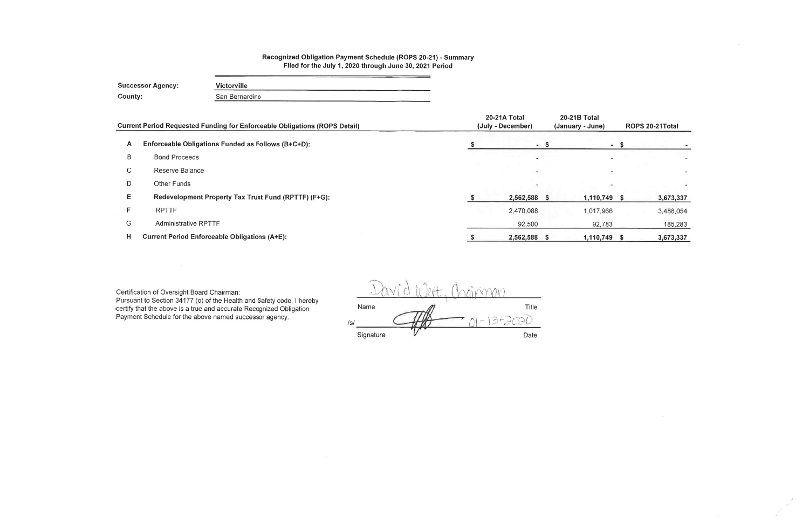# Recognized Obligation Payment Schedule (ROPS 20-21) - Summary<br>Filed for the July 1, 2020 through June 30, 2021 Period

|              | <b>Successor Agency:</b>    | <b>Victorville</b>                                                                |                                   |    |                              |
|--------------|-----------------------------|-----------------------------------------------------------------------------------|-----------------------------------|----|------------------------------|
| County:      |                             | San Bernardino                                                                    |                                   |    |                              |
|              |                             | <b>Current Period Requested Funding for Enforceable Obligations (ROPS Detail)</b> | 20-21A Total<br>(July - December) |    | 20-21B Tota<br>(January - Ju |
| $\mathsf{A}$ |                             | Enforceable Obligations Funded as Follows (B+C+D):                                | $-$ \$                            |    |                              |
| B            | <b>Bond Proceeds</b>        |                                                                                   |                                   |    |                              |
| $\mathbf C$  | Reserve Balance             |                                                                                   |                                   |    |                              |
| D            | Other Funds                 |                                                                                   |                                   |    |                              |
| Ε            |                             | Redevelopment Property Tax Trust Fund (RPTTF) (F+G):                              | 2,562,588 \$                      |    | 1,11                         |
| F            | <b>RPTTF</b>                |                                                                                   | 2,470,088                         |    | 1,01                         |
| G            | <b>Administrative RPTTF</b> |                                                                                   | 92,500                            |    | 9                            |
| H            |                             | <b>Current Period Enforceable Obligations (A+E):</b>                              | \$<br>2,562,588                   | S. | 1,11                         |

Certification of Oversight Board Chairman:<br>Pursuant to Section 34177 (o) of the Health and Safety code, I hereby<br>certify that the above is a true and accurate Recognized Obligation Payment Schedule for the above named successor agency.

ngirman Title Name  $-13 - 2000$  $\sqrt{s}$ Signature Date

| al<br>ne) | ROPS 20-21Total |
|-----------|-----------------|
|           | \$              |
|           |                 |
|           |                 |
|           |                 |
| 10,749    | \$<br>3,673,337 |
| 17,966    | 3,488,054       |
| 92,783    | 185,283         |
| 10,749    | \$<br>3,673,337 |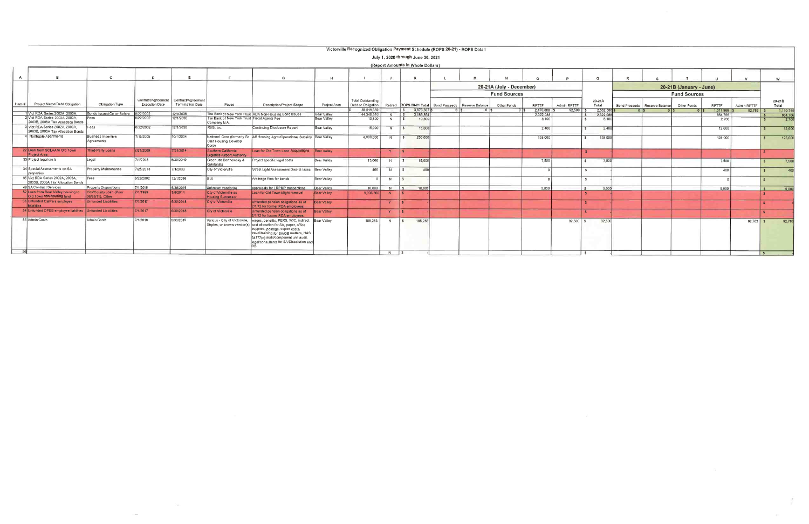|                |                                                                       |                                             |                       |                         |                                                              |                                                                                                                                                                                                                                                                                        |                    | Victorville Recognized Obligation Payment Schedule (ROPS 20-21) - ROPS Detail |                |               |                                    |                                                              |                          |                        |             |                    |                        |                                 |                         |                      |             |                |
|----------------|-----------------------------------------------------------------------|---------------------------------------------|-----------------------|-------------------------|--------------------------------------------------------------|----------------------------------------------------------------------------------------------------------------------------------------------------------------------------------------------------------------------------------------------------------------------------------------|--------------------|-------------------------------------------------------------------------------|----------------|---------------|------------------------------------|--------------------------------------------------------------|--------------------------|------------------------|-------------|--------------------|------------------------|---------------------------------|-------------------------|----------------------|-------------|----------------|
|                |                                                                       |                                             |                       |                         |                                                              |                                                                                                                                                                                                                                                                                        |                    |                                                                               |                |               | July 1, 2020 through June 30, 2021 |                                                              |                          |                        |             |                    |                        |                                 |                         |                      |             |                |
|                |                                                                       |                                             |                       |                         |                                                              |                                                                                                                                                                                                                                                                                        |                    |                                                                               |                |               | (Report Amounts in Whole Dollars)  |                                                              |                          |                        |             |                    |                        |                                 |                         |                      |             |                |
|                |                                                                       |                                             |                       |                         |                                                              |                                                                                                                                                                                                                                                                                        |                    |                                                                               |                |               |                                    |                                                              |                          |                        |             |                    |                        |                                 |                         |                      |             |                |
| $\overline{A}$ | - B                                                                   |                                             | D.                    |                         |                                                              |                                                                                                                                                                                                                                                                                        | $\mathbf{u}$       |                                                                               |                |               |                                    |                                                              |                          |                        |             |                    |                        |                                 |                         |                      |             | W              |
|                |                                                                       |                                             |                       |                         |                                                              |                                                                                                                                                                                                                                                                                        |                    |                                                                               |                |               |                                    |                                                              | 20-21A (July - December) |                        |             |                    |                        |                                 | 20-21B (January - June) |                      |             |                |
|                |                                                                       |                                             |                       |                         |                                                              |                                                                                                                                                                                                                                                                                        |                    |                                                                               |                |               |                                    |                                                              | <b>Fund Sources</b>      |                        |             |                    |                        |                                 | <b>Fund Sources</b>     |                      |             |                |
|                |                                                                       |                                             | Contract/Agreement    | Contract/Agreement      |                                                              |                                                                                                                                                                                                                                                                                        |                    | <b>Total Outstanding</b>                                                      |                |               |                                    |                                                              |                          |                        |             |                    | 20-21A                 |                                 |                         |                      |             | 20-21B         |
| Item $#$       | Project Name/Debt Obligation                                          | Obligation Type                             | <b>Execution Date</b> | <b>Termination Date</b> | Payee                                                        | Description/Project Scope                                                                                                                                                                                                                                                              | Project Area       | Debt or Obligation                                                            |                |               |                                    | Retired   ROPS 20-21 Total   Bond Proceeds   Reserve Balance | Other Funds              | RPTTF                  | Admin RPTTF |                    | Total                  | Bond Proceeds   Reserve Balance | Other Funds             | <b>RPTTF</b>         | Admin RPTTF | Total          |
|                | 1 Vict RDA Series 2002A. 2003A.                                       | Bonds Issued On or Before                   | 8/22/2002             | 12/1/2036               |                                                              | The Bank of New York Trust RDA Non-Housing Bond Issues                                                                                                                                                                                                                                 | Bear Valley        | 58,519,359<br>44.346.516                                                      | $N$ $S$        | $\sim$        | 3,673,337<br>3 186 854             |                                                              |                          | 2,470,088<br>2.322.088 | $92.500$ \$ |                    | 2.562.588<br>2,322,088 |                                 |                         | 1.017.966<br>864,766 | $92,783$ \$ | 1,110,74       |
|                | 2 Vict RDA Series 2002A, 2003A,<br>2003B, 2006A Tax Allocation Bonds  | ees                                         | 8/22/2002             | 12/1/2036               | The Bank of New York Trust Fiscal Agents Fee<br>Company N.A. |                                                                                                                                                                                                                                                                                        | Bear Valley        | 10,800                                                                        | <b>N</b>       |               | 10,800                             |                                                              |                          | 8.100                  |             |                    | 8,100                  |                                 |                         | 2.700                |             | 864.76<br>2,70 |
|                | 3 Vict RDA Series 2002A, 2003A,                                       | Fees                                        | 8/22/2002             | 12/1/2036               | RSG, Inc.                                                    | Continuing Disclosure Report                                                                                                                                                                                                                                                           | Bear Valley        | 15,000                                                                        | N              | $\frac{1}{2}$ | 15,000                             |                                                              |                          | 2.400                  |             | $\mathbf{s}$       | 2,400                  |                                 |                         | 12,600               |             | 12,600         |
|                | 2003B, 2006A Tax Allocation Bonds                                     |                                             |                       |                         |                                                              |                                                                                                                                                                                                                                                                                        |                    |                                                                               |                |               |                                    |                                                              |                          |                        |             |                    |                        |                                 |                         |                      |             |                |
|                | 4 Northgate Apartments                                                | <b>Business Incentive</b><br>Agreements     | 7/15/2005             | 10/1/2034               | Calif Housing Develop<br>Corp)                               | National Core (formerly So Aff Housing Agmt/Operational Subsidy Bear Valley                                                                                                                                                                                                            |                    | 4,000,000                                                                     | N              | $\frac{1}{5}$ | 250,000                            |                                                              |                          | 125,000                |             | $\mathbf{R}$       | 125,000                |                                 |                         | 125,000              |             | 125,000        |
|                | 22 Loan from SCLAA to Old Town<br><b>Project Area</b>                 | Third-Party Loans                           | 7/21/2009             | 7/21/2014               | Southern California<br>ogistics Airport Authority            | Loan for Old Town Land Acquisitions                                                                                                                                                                                                                                                    | <b>Bear Valley</b> |                                                                               |                | $\mathbf{s}$  |                                    |                                                              |                          |                        |             |                    |                        |                                 |                         |                      |             |                |
|                | 33 Project legal costs                                                | Legal                                       | 7/1/2018              | 6/30/2019               | Green, de Bortnowsky &<br>Quintanilla                        | Project specific legal costs                                                                                                                                                                                                                                                           | Bear Valley        | 15,000                                                                        |                |               | 15,000                             |                                                              |                          | 7.500                  |             |                    | 7 500                  |                                 |                         | 7,500                |             | 7,500          |
|                | 34 Special Assessments on SA<br><i><u><b>I</b>properties</u></i>      | Property Maintenance                        | 7/25/2013             | 7/1/2033                | City of Victorville                                          | Street Light Assessment District taxes   Bear Valley                                                                                                                                                                                                                                   |                    | 400                                                                           |                |               | 400                                |                                                              |                          |                        |             |                    |                        |                                 |                         | 400                  |             |                |
|                | 35 Vict RDA Series 2002A, 2003A,<br>2003B, 2006A Tax Allocation Bonds | Fees                                        | 8/22/2002             | 12/1/2036               | 31 X                                                         | Arbitrage fees for bonds                                                                                                                                                                                                                                                               | Bear Valley        |                                                                               | N              | $\frac{1}{2}$ |                                    |                                                              |                          |                        |             | $\hat{\mathbf{z}}$ |                        |                                 |                         |                      |             |                |
|                | 49 SA Contract Services                                               | <b>Property Dispositions</b>                | 7/1/2018              | 6/30/2019               | Unknown vendor(s)                                            | appraisals for LRPMP transactions                                                                                                                                                                                                                                                      | Bear Valley        | 10,000                                                                        | $N$ 5          |               | 10,000                             |                                                              |                          | 5,000                  |             | $\sqrt{3}$         | 5.000                  |                                 |                         | 5.000                |             |                |
|                | 52 Loan from Bear Valley housing to<br>Old Town non-housing fund      | City/County Loan (Prior<br>06/28/11), Other | //1/1999              | 3/8/2014                | City of Victorville as<br><b>Housing Successor</b>           | Loan for Old Town blight removal                                                                                                                                                                                                                                                       | <b>Bear Valley</b> | 9.936.360                                                                     | N.             |               |                                    |                                                              |                          |                        |             | ⊪s                 |                        |                                 |                         |                      |             | 5,00           |
|                | 53 Unfunded CalPers employee<br>liabilities                           | <b>Unfunded Liabilities</b>                 | 7/1/2017              | 6/30/2018               | <b>City of Victorville</b>                                   | Unfunded pension obligations as of<br>2/1/12 for former RDA employees                                                                                                                                                                                                                  | <b>Bear Valley</b> |                                                                               |                |               |                                    |                                                              |                          |                        |             |                    |                        |                                 |                         |                      |             |                |
|                | 54 Unfunded OPEB employee liabilites Unfunded Liabilities             |                                             | 7/1/2017              | 6/30/2018               | City of Victorville                                          | Unfunded pension obligations as of<br>2/1/12 for former RDA employees                                                                                                                                                                                                                  | <b>Bear Valley</b> |                                                                               |                | $\sim$        |                                    |                                                              |                          |                        |             |                    |                        |                                 |                         |                      |             |                |
|                | 55 Admin Costs                                                        | <b>Admin Costs</b>                          | 7/1/2018              | 6/30/2019               | Various - City of Victorville                                | wages, benefits, PERS, W/C, indirect Bear Valley<br>Staples, unknown vendor(s) cost allocation for SA, paper, office<br>supplies, postage, copier costs,<br>travel/training for SA/OB matters, H&S<br>34177(n) audit/component unit audit.<br>legal/consultants for SA/Dissolution and |                    | 185,283                                                                       | N              | $\frac{1}{3}$ | 185,283                            |                                                              |                          |                        | $92,500$ \$ |                    | 92,500                 |                                 |                         |                      | $92,783$ \$ | 92.783         |
| 56             |                                                                       |                                             |                       |                         |                                                              |                                                                                                                                                                                                                                                                                        |                    |                                                                               | $N$ $\vert$ \$ |               |                                    |                                                              |                          |                        |             | $\hat{\mathbf{r}}$ |                        |                                 |                         |                      |             |                |

 $\label{eq:1.1} \frac{1}{2}\sum_{i=1}^n\frac{1}{2}\sum_{i=1}^n\frac{1}{2}\sum_{i=1}^n\frac{1}{2}\sum_{i=1}^n\frac{1}{2}\sum_{i=1}^n\frac{1}{2}\sum_{i=1}^n\frac{1}{2}\sum_{i=1}^n\frac{1}{2}\sum_{i=1}^n\frac{1}{2}\sum_{i=1}^n\frac{1}{2}\sum_{i=1}^n\frac{1}{2}\sum_{i=1}^n\frac{1}{2}\sum_{i=1}^n\frac{1}{2}\sum_{i=1}^n\frac{1}{2}\sum_{i=1}^n\$ 

 $\sim 10$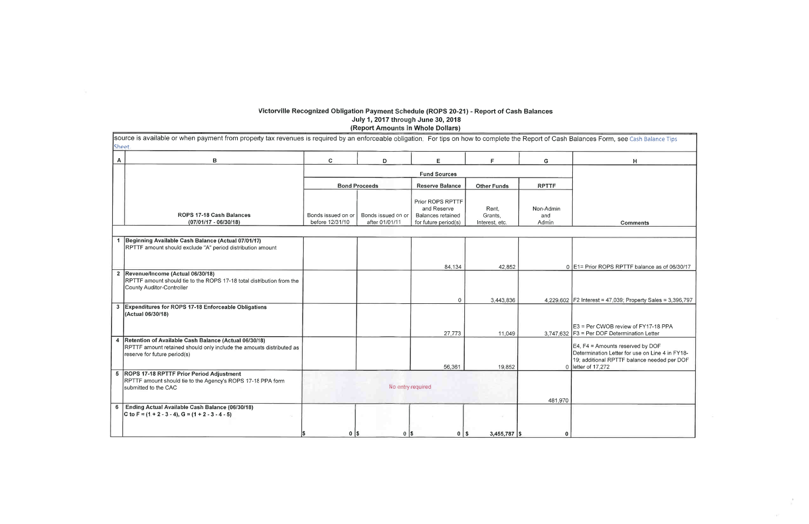#### Victorville Recognized Obligation Payment Schedule (ROPS 20-21) - Report of Cash Balances July 1, 2017 through June 30, 2018 (Report Amounts in Whole Dollars)

source is available or when payment from property tax revenues is required by an enforceable obligation. For tips on how to complete the Report of Cash Balances Sheet.  $\mathbf{B}$  $\boldsymbol{A}$  $\mathbf{C}$  $\mathsf{E}$ F D  $\mathsf{G}$ **Fund Sources Bond Proceeds Reserve Balance Other Funds RPTTF** Prior ROPS RPTTF and Reserve Rent, Non-Admin ROPS 17-18 Cash Balances Bonds issued on or Bonds issued on or Balances retained Grants, and  $(07/01/17 - 06/30/18)$ before 12/31/10 after 01/01/11 for future period(s) Interest, etc. Admin 1 Beginning Available Cash Balance (Actual 07/01/17) RPTTF amount should exclude "A" period distribution amount  $0$  E<sub>1</sub> = Prior 84,134 42,852 2 Revenue/Income (Actual 06/30/18) RPTTF amount should tie to the ROPS 17-18 total distribution from the County Auditor-Controller 3,443,836 4,229,602 F2 Interes  $\Omega$ 3 Expenditures for ROPS 17-18 Enforceable Obligations (Actual 06/30/18)  $E3 = Per$  $3,747,632$  F3 = Per 27,773 11,049 4 Retention of Available Cash Balance (Actual 06/30/18)  $E4, F4 =$ RPTTF amount retained should only include the amounts distributed as Determina reserve for future period(s) 19; additio 56,361 19,852 0 letter of 1 5 ROPS 17-18 RPTTF Prior Period Adjustment RPTTF amount should tie to the Agency's ROPS 17-18 PPA form submitted to the CAC No entry required 481,970 6 Ending Actual Available Cash Balance (06/30/18) C to F =  $(1 + 2 - 3 - 4)$ , G =  $(1 + 2 - 3 - 4 - 5)$  $3,455,787$  \$  $0$   $\sqrt{s}$  $0$  | \$  $0$  | \$  $\mathbf{0}$ 

| <b>Form, see Cash Balance Tips</b>                                                                                |
|-------------------------------------------------------------------------------------------------------------------|
| н                                                                                                                 |
|                                                                                                                   |
|                                                                                                                   |
|                                                                                                                   |
| Comments                                                                                                          |
|                                                                                                                   |
|                                                                                                                   |
| r ROPS RPTTF balance as of 06/30/17                                                                               |
|                                                                                                                   |
| st = 47,039; Property Sales = 3,396,797                                                                           |
| CWOB review of FY17-18 PPA<br>DOF Determination Letter                                                            |
| Amounts reserved by DOF<br>ation Letter for use on Line 4 in FY18-<br>ional RPTTF balance needed per DOF<br>7,272 |
|                                                                                                                   |
|                                                                                                                   |
|                                                                                                                   |
|                                                                                                                   |